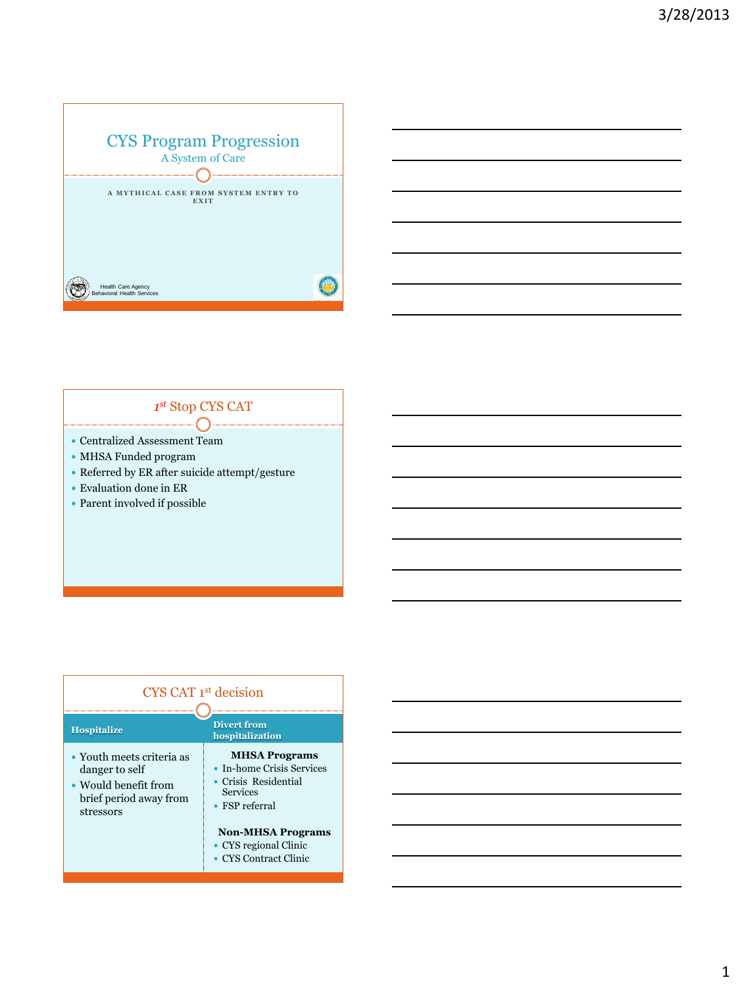

#### *1 st* Stop CYS CAT €

- Centralized Assessment Team
- MHSA Funded program
- $\bullet$  Referred by ER after suicide attempt/gesture
- $\bullet$  Evaluation done in ER
- Parent involved if possible

| CYS CAT 1 <sup>st</sup> decision                                                                           |                                                                                                               |
|------------------------------------------------------------------------------------------------------------|---------------------------------------------------------------------------------------------------------------|
| <b>Hospitalize</b>                                                                                         | <b>Divert from</b><br>hospitalization                                                                         |
| • Youth meets criteria as<br>danger to self<br>• Would benefit from<br>brief period away from<br>stressors | <b>MHSA Programs</b><br>• In-home Crisis Services<br>Crisis Residential<br>Services<br>$\bullet$ FSP referral |
|                                                                                                            | <b>Non-MHSA Programs</b><br>• CYS regional Clinic<br><b>CYS</b> Contract Clinic                               |

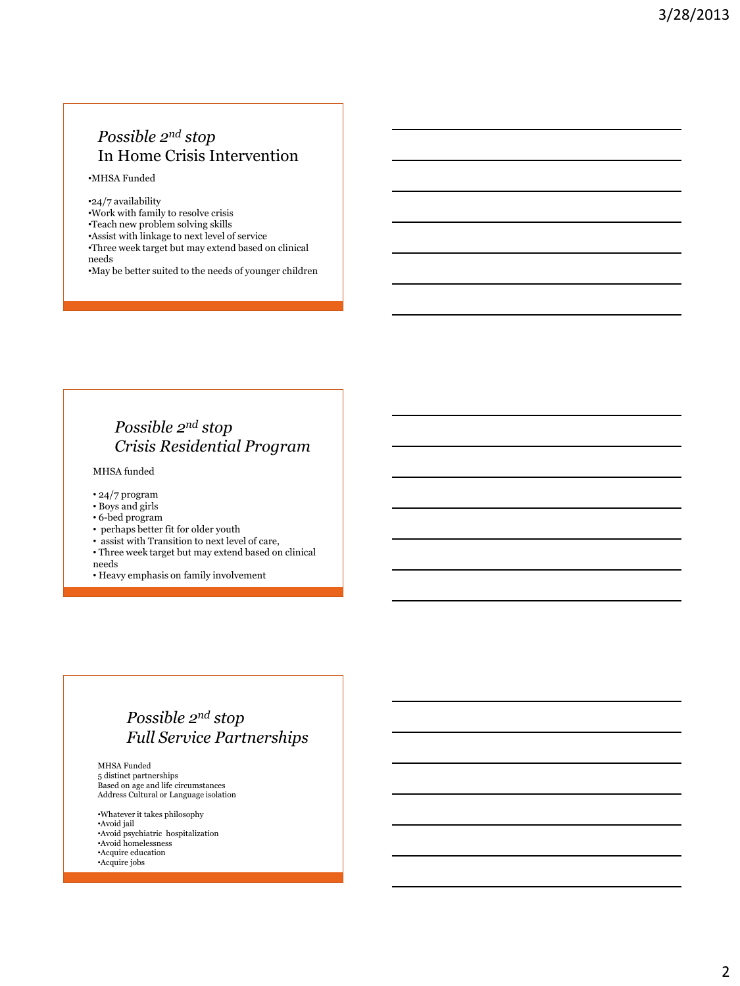## *Possible 2nd stop* In Home Crisis Intervention

•MHSA Funded

•24/7 availability •Work with family to resolve crisis •Teach new problem solving skills •Assist with linkage to next level of service •Three week target but may extend based on clinical needs •May be better suited to the needs of younger children

### *Possible 2nd stop Crisis Residential Program*

MHSA funded

- 24/7 program
- Boys and girls
- 6-bed program
- perhaps better fit for older youth
- assist with Transition to next level of care,
- Three week target but may extend based on clinical needs
- Heavy emphasis on family involvement

### *Possible 2nd stop Full Service Partnerships*

MHSA Funded 5 distinct partnerships Based on age and life circumstances Address Cultural or Language isolation

•Whatever it takes philosophy •Avoid jail •Avoid psychiatric hospitalization •Avoid homelessness •Acquire education •Acquire jobs